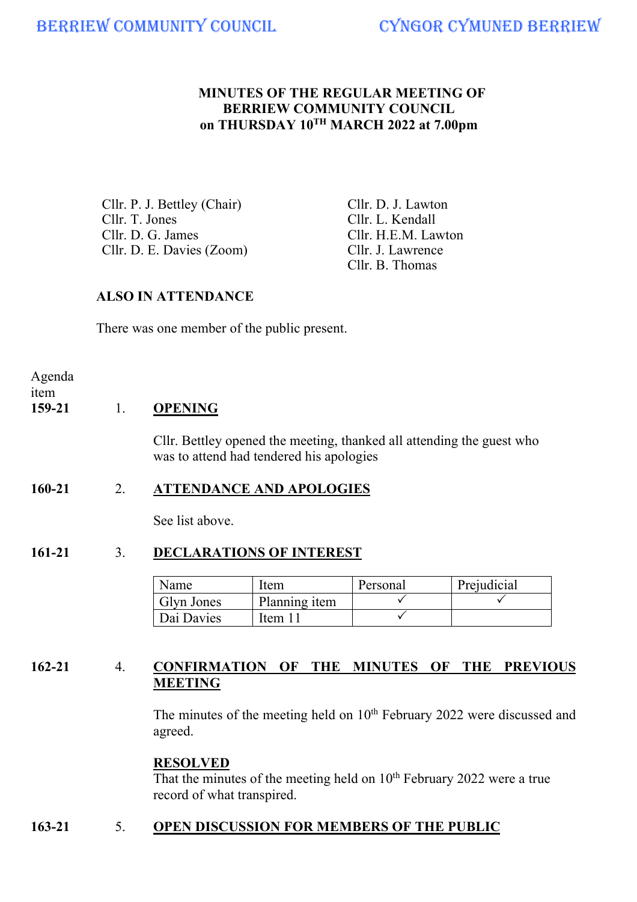### **MINUTES OF THE REGULAR MEETING OF BERRIEW COMMUNITY COUNCIL on THURSDAY 10TH MARCH 2022 at 7.00pm**

Cllr. P. J. Bettley (Chair) Cllr. D. J. Lawton<br>Cllr. T. Jones Cllr. L. Kendall Cllr. T. Jones Cllr. L. Kendall<br>Cllr. D. G. James Cllr. H.E.M. Lav Cllr. D. E. Davies (Zoom) Cllr. J. Lawrence

Cllr. H.E.M. Lawton Cllr. B. Thomas

## **ALSO IN ATTENDANCE**

There was one member of the public present.

Agenda item

## **159-21** 1. **OPENING**

 Cllr. Bettley opened the meeting, thanked all attending the guest who was to attend had tendered his apologies

### **160-21** 2. **ATTENDANCE AND APOLOGIES**

See list above.

# **161-21** 3. **DECLARATIONS OF INTEREST**

| Name              | Item          | Personal | Prejudicial |
|-------------------|---------------|----------|-------------|
| <b>Glyn Jones</b> | Planning item |          |             |
| Dai Davies        | Item 1        |          |             |

# **162-21** 4. **CONFIRMATION OF THE MINUTES OF THE PREVIOUS MEETING**

The minutes of the meeting held on  $10<sup>th</sup>$  February 2022 were discussed and agreed.

# **RESOLVED**

That the minutes of the meeting held on 10<sup>th</sup> February 2022 were a true record of what transpired.

# **163-21** 5. **OPEN DISCUSSION FOR MEMBERS OF THE PUBLIC**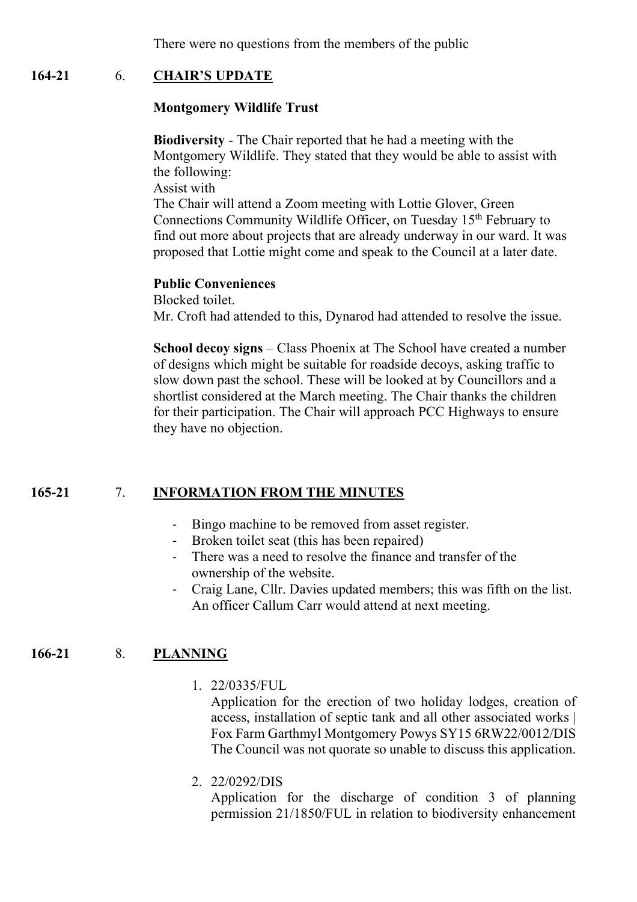There were no questions from the members of the public

### **164-21** 6. **CHAIR'S UPDATE**

#### **Montgomery Wildlife Trust**

**Biodiversity** - The Chair reported that he had a meeting with the Montgomery Wildlife. They stated that they would be able to assist with the following:

Assist with

The Chair will attend a Zoom meeting with Lottie Glover, Green Connections Community Wildlife Officer, on Tuesday 15<sup>th</sup> February to find out more about projects that are already underway in our ward. It was proposed that Lottie might come and speak to the Council at a later date.

#### **Public Conveniences**

Blocked toilet. Mr. Croft had attended to this, Dynarod had attended to resolve the issue.

**School decoy signs** – Class Phoenix at The School have created a number of designs which might be suitable for roadside decoys, asking traffic to slow down past the school. These will be looked at by Councillors and a shortlist considered at the March meeting. The Chair thanks the children for their participation. The Chair will approach PCC Highways to ensure they have no objection.

### **165-21** 7. **INFORMATION FROM THE MINUTES**

- Bingo machine to be removed from asset register.
- Broken toilet seat (this has been repaired)
- There was a need to resolve the finance and transfer of the ownership of the website.
- Craig Lane, Cllr. Davies updated members; this was fifth on the list. An officer Callum Carr would attend at next meeting.

### **166-21** 8. **PLANNING**

1. 22/0335/FUL

Application for the erection of two holiday lodges, creation of access, installation of septic tank and all other associated works | Fox Farm Garthmyl Montgomery Powys SY15 6RW22/0012/DIS The Council was not quorate so unable to discuss this application.

2. 22/0292/DIS

Application for the discharge of condition 3 of planning permission 21/1850/FUL in relation to biodiversity enhancement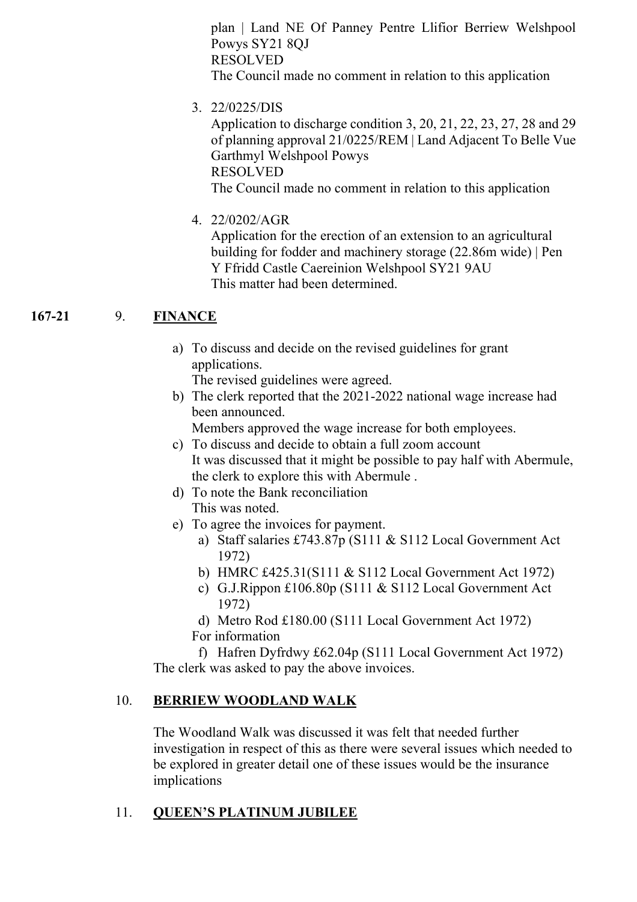plan | Land NE Of Panney Pentre Llifior Berriew Welshpool Powys SY21 8QJ RESOLVED The Council made no comment in relation to this application

3. 22/0225/DIS

Application to discharge condition 3, 20, 21, 22, 23, 27, 28 and 29 of planning approval 21/0225/REM | Land Adjacent To Belle Vue Garthmyl Welshpool Powys RESOLVED The Council made no comment in relation to this application

4. 22/0202/AGR

Application for the erection of an extension to an agricultural building for fodder and machinery storage (22.86m wide) | Pen Y Ffridd Castle Caereinion Welshpool SY21 9AU This matter had been determined.

## **167-21** 9. **FINANCE**

 a) To discuss and decide on the revised guidelines for grant applications.

The revised guidelines were agreed.

b) The clerk reported that the 2021-2022 national wage increase had been announced.

Members approved the wage increase for both employees.

- c) To discuss and decide to obtain a full zoom account It was discussed that it might be possible to pay half with Abermule, the clerk to explore this with Abermule .
- d) To note the Bank reconciliation This was noted.
- e) To agree the invoices for payment.
	- a) Staff salaries £743.87p (S111 & S112 Local Government Act 1972)
	- b) HMRC £425.31(S111 & S112 Local Government Act 1972)
	- c) G.J.Rippon £106.80p (S111 & S112 Local Government Act 1972)
	- d) Metro Rod £180.00 (S111 Local Government Act 1972)
	- For information

f) Hafren Dyfrdwy £62.04p (S111 Local Government Act 1972) The clerk was asked to pay the above invoices.

## 10. **BERRIEW WOODLAND WALK**

 The Woodland Walk was discussed it was felt that needed further investigation in respect of this as there were several issues which needed to be explored in greater detail one of these issues would be the insurance implications

## 11. **QUEEN'S PLATINUM JUBILEE**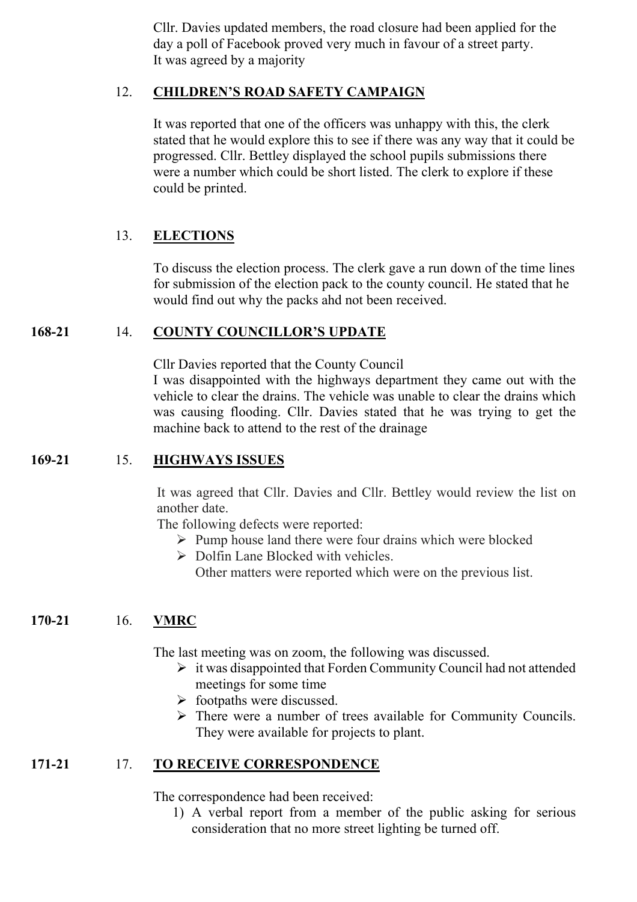Cllr. Davies updated members, the road closure had been applied for the day a poll of Facebook proved very much in favour of a street party. It was agreed by a majority

#### 12. **CHILDREN'S ROAD SAFETY CAMPAIGN**

 It was reported that one of the officers was unhappy with this, the clerk stated that he would explore this to see if there was any way that it could be progressed. Cllr. Bettley displayed the school pupils submissions there were a number which could be short listed. The clerk to explore if these could be printed.

## 13. **ELECTIONS**

 To discuss the election process. The clerk gave a run down of the time lines for submission of the election pack to the county council. He stated that he would find out why the packs ahd not been received.

### **168-21** 14. **COUNTY COUNCILLOR'S UPDATE**

 Cllr Davies reported that the County Council I was disappointed with the highways department they came out with the vehicle to clear the drains. The vehicle was unable to clear the drains which was causing flooding. Cllr. Davies stated that he was trying to get the machine back to attend to the rest of the drainage

#### **169-21** 15. **HIGHWAYS ISSUES**

It was agreed that Cllr. Davies and Cllr. Bettley would review the list on another date.

The following defects were reported:

- $\triangleright$  Pump house land there were four drains which were blocked
- $\triangleright$  Dolfin Lane Blocked with vehicles.

Other matters were reported which were on the previous list.

### **170-21** 16. **VMRC**

The last meeting was on zoom, the following was discussed.

- $\triangleright$  it was disappointed that Forden Community Council had not attended meetings for some time
- $\triangleright$  footpaths were discussed.
- $\triangleright$  There were a number of trees available for Community Councils. They were available for projects to plant.

### **171-21** 17. **TO RECEIVE CORRESPONDENCE**

The correspondence had been received:

1) A verbal report from a member of the public asking for serious consideration that no more street lighting be turned off.